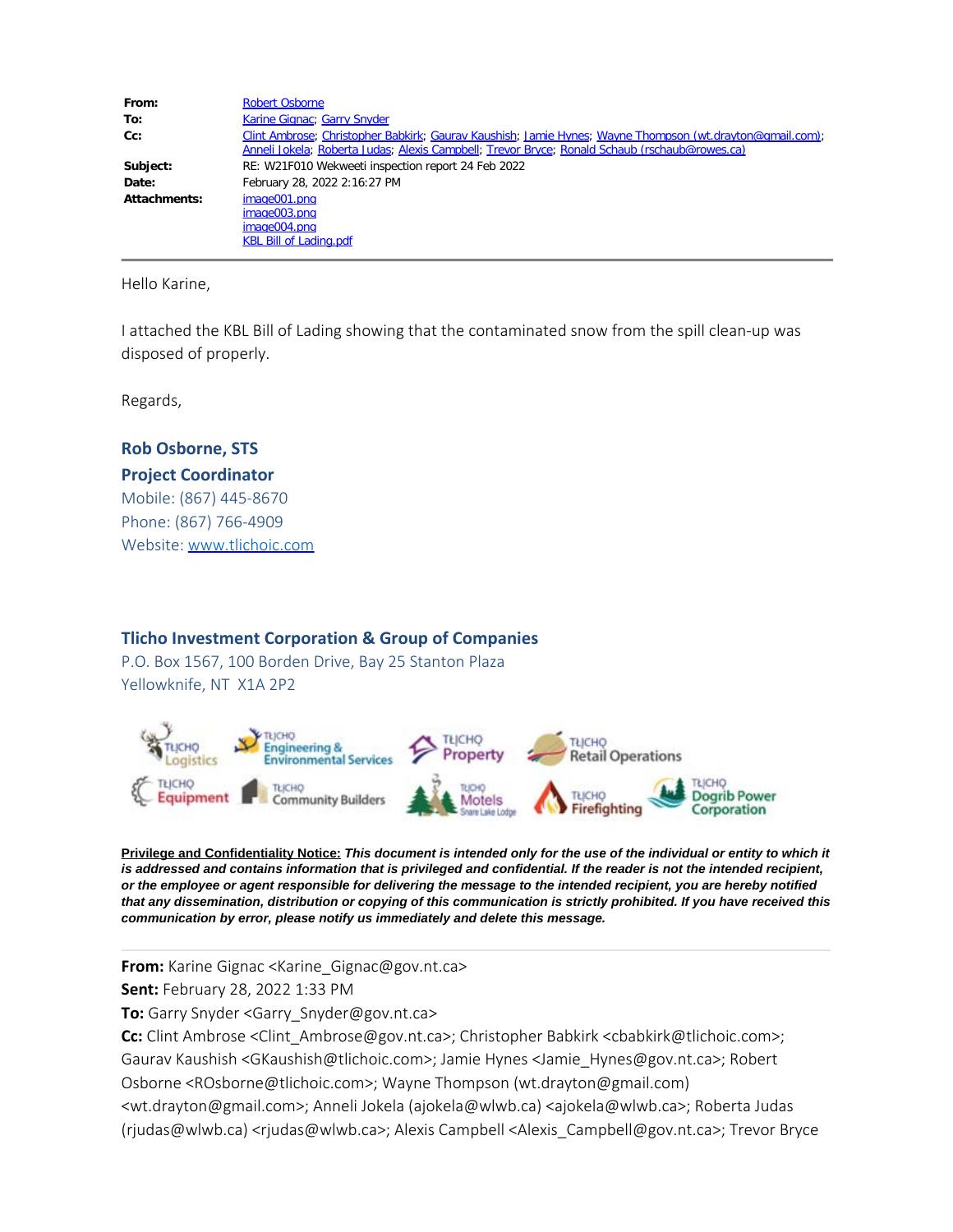| From:        | <b>Robert Osborne</b>                                                                                    |
|--------------|----------------------------------------------------------------------------------------------------------|
| To:          | Karine Gignac; Garry Snyder                                                                              |
| $Cc$ :       | Clint Ambrose; Christopher Babkirk; Gaurav Kaushish; Jamie Hynes; Wayne Thompson (wt.drayton@gmail.com); |
|              | Anneli Jokela; Roberta Judas; Alexis Campbell; Trevor Bryce; Ronald Schaub (rschaub@rowes.ca)            |
| Subject:     | RE: W21F010 Wekweeti inspection report 24 Feb 2022                                                       |
| Date:        | February 28, 2022 2:16:27 PM                                                                             |
| Attachments: | image001.png                                                                                             |
|              | image003.png                                                                                             |
|              | image004.png                                                                                             |
|              | <b>KBL Bill of Lading.pdf</b>                                                                            |

Hello Karine,

I attached the KBL Bill of Lading showing that the contaminated snow from the spill clean-up was disposed of properly.

Regards,

### **Rob Osborne, STS Project Coordinator**

Mobile: (867) 445-8670 Phone: (867) 766-4909 Website: [www.tlichoic.com](http://www.tlichoic.com/) 

#### **Tlicho Investment Corporation & Group of Companies**

P.O. Box 1567, 100 Borden Drive, Bay 25 Stanton Plaza Yellowknife, NT X1A 2P2



**Privilege and Confidentiality Notice:** *This document is intended only for the use of the individual or entity to which it is addressed and contains information that is privileged and confidential. If the reader is not the intended recipient, or the employee or agent responsible for delivering the message to the intended recipient, you are hereby notified that any dissemination, distribution or copying of this communication is strictly prohibited. If you have received this communication by error, please notify us immediately and delete this message.*

**From:** Karine Gignac <Karine\_Gignac@gov.nt.ca>

**Sent:** February 28, 2022 1:33 PM

**To:** Garry Snyder <Garry\_Snyder@gov.nt.ca>

**Cc:** Clint Ambrose <Clint\_Ambrose@gov.nt.ca>; Christopher Babkirk <cbabkirk@tlichoic.com>; Gaurav Kaushish <GKaushish@tlichoic.com>; Jamie Hynes <Jamie\_Hynes@gov.nt.ca>; Robert

Osborne <ROsborne@tlichoic.com>; Wayne Thompson (wt.drayton@gmail.com)

<wt.drayton@gmail.com>; Anneli Jokela (ajokela@wlwb.ca) <ajokela@wlwb.ca>; Roberta Judas (rjudas@wlwb.ca) <rjudas@wlwb.ca>; Alexis Campbell <Alexis\_Campbell@gov.nt.ca>; Trevor Bryce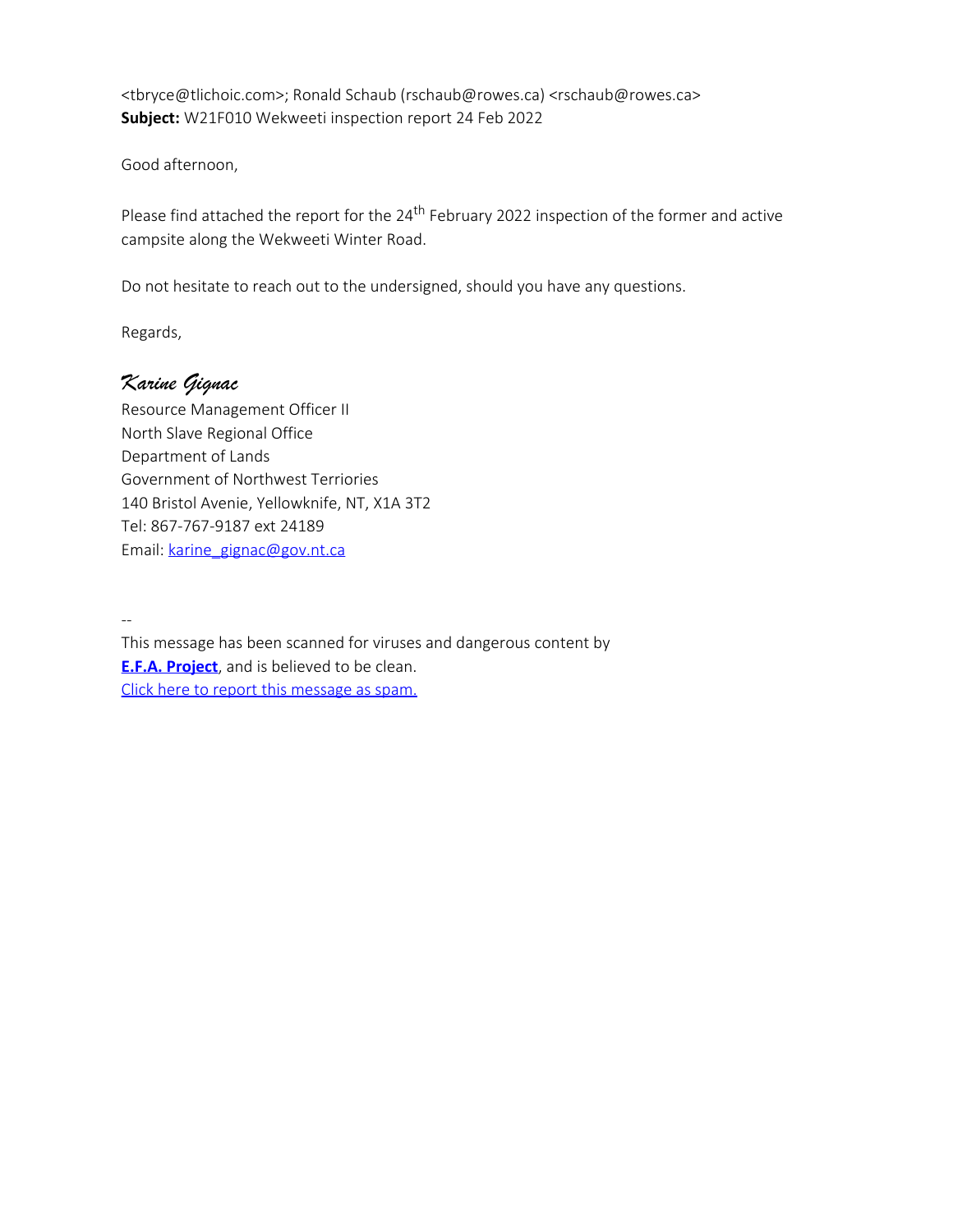<tbryce@tlichoic.com>; Ronald Schaub (rschaub@rowes.ca) <rschaub@rowes.ca> **Subject:** W21F010 Wekweeti inspection report 24 Feb 2022

Good afternoon,

Please find attached the report for the 24<sup>th</sup> February 2022 inspection of the former and active campsite along the Wekweeti Winter Road.

Do not hesitate to reach out to the undersigned, should you have any questions.

Regards,

## *Karine Gignac*

Resource Management Officer II North Slave Regional Office Department of Lands Government of Northwest Terriories 140 Bristol Avenie, Yellowknife, NT, X1A 3T2 Tel: 867-767-9187 ext 24189 Email: [karine\\_gignac@gov.nt.ca](mailto:karine_gignac@gov.nt.ca)

--

This message has been scanned for viruses and dangerous content by **[E.F.A. Project](http://www.efa-project.org/)**, and is believed to be clean. [Click here to report this message as spam.](http://tic-efa.tlichoic.com/cgi-bin/learn-msg.cgi?id=0C81D120191.AE56F&token=502488187020de3d7987b99db77e75a0)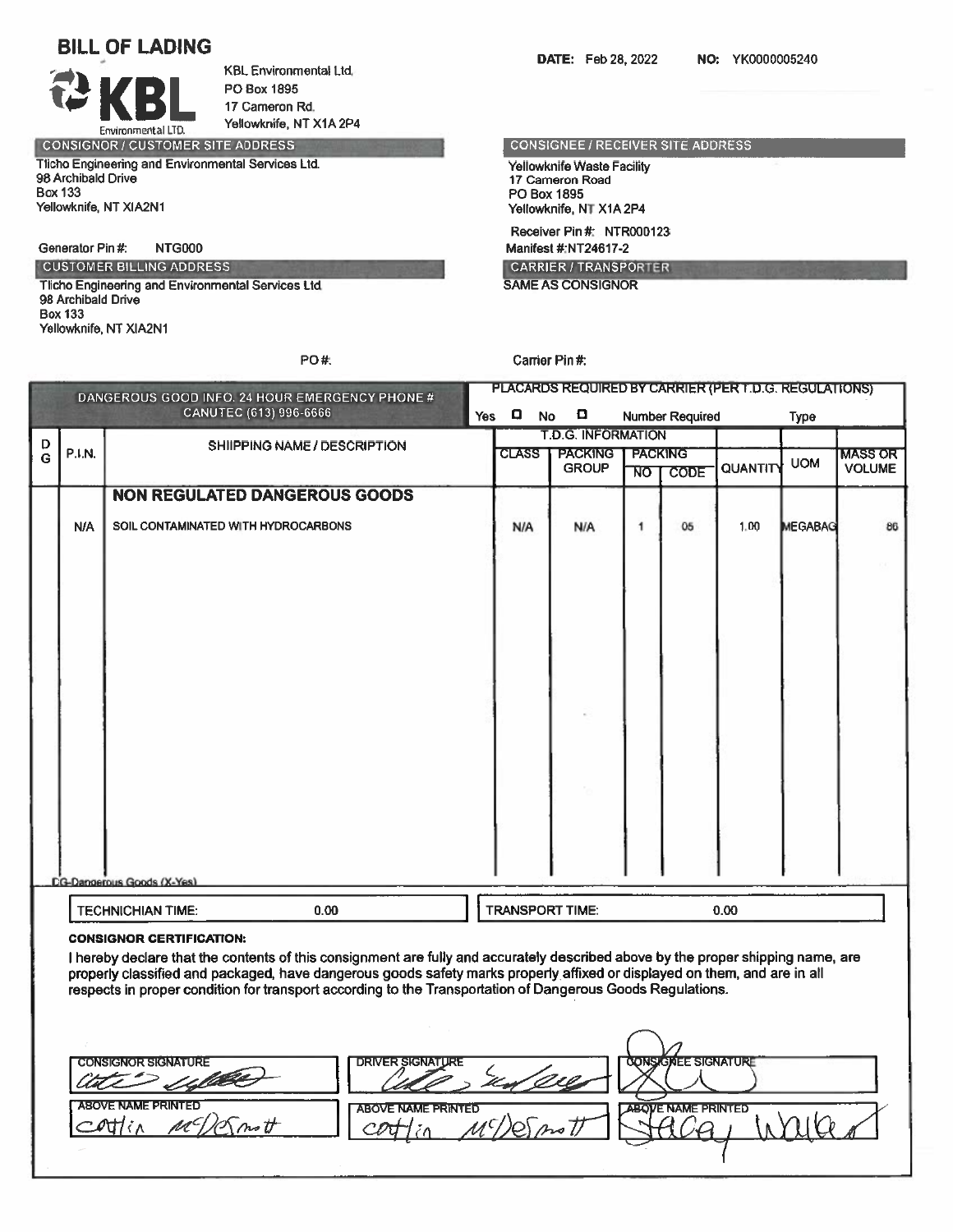# **BILL OF LADING**

Environmental LTD.

**KBL Environmental Ltd.** PO Box 1895 17 Cameron Rd. Yellowknife, NT X1A 2P4

PO#:

**CONSIGNOR / CUSTOMER SITE ADDRESS** Tlicho Engineering and Environmental Services Ltd. 98 Archibald Drive **Box 133** Yellowknife, NT XIA2N1

Generator Pin #: **NTG000** 

**CUSTOMER BILLING ADDRESS** Tlicho Engineering and Environmental Services Ltd.

98 Archibald Drive **Box 133** Yellowknife, NT XIA2N1

**DATE:** Feb 28, 2022 NO: YK0000005240

**CONSIGNEE / RECEIVER SITE ADDRESS** 

Yellowknife Waste Facility 17 Cameron Road PO Box 1895 Yellowknife, NT X1A 2P4 Receiver Pin #: NTR000123 Manifest #:NT24617-2

**CARRIER / TRANSPORTER SAME AS CONSIGNOR** 

#### Carrier Pin #:

|                          |                                   |                                                                                                                                                                                         | $\Box$       | O              |                                                     |             |                                             | <b>Type</b>            |                                                                                                   |
|--------------------------|-----------------------------------|-----------------------------------------------------------------------------------------------------------------------------------------------------------------------------------------|--------------|----------------|-----------------------------------------------------|-------------|---------------------------------------------|------------------------|---------------------------------------------------------------------------------------------------|
|                          |                                   |                                                                                                                                                                                         |              |                |                                                     |             |                                             |                        |                                                                                                   |
|                          |                                   |                                                                                                                                                                                         | <b>CLASS</b> | <b>PACKING</b> |                                                     |             |                                             |                        | <b>MASS OR</b>                                                                                    |
|                          |                                   |                                                                                                                                                                                         |              |                | ÑO                                                  | <b>CODE</b> |                                             |                        | <b>VOLUME</b>                                                                                     |
|                          |                                   |                                                                                                                                                                                         |              |                |                                                     |             |                                             |                        |                                                                                                   |
|                          |                                   |                                                                                                                                                                                         | N/A          | <b>N/A</b>     | 1                                                   | 05          | 1.00                                        |                        | 86                                                                                                |
|                          |                                   |                                                                                                                                                                                         |              |                |                                                     |             |                                             |                        |                                                                                                   |
|                          |                                   |                                                                                                                                                                                         |              |                |                                                     |             |                                             |                        |                                                                                                   |
|                          |                                   |                                                                                                                                                                                         |              |                |                                                     |             |                                             |                        |                                                                                                   |
|                          |                                   |                                                                                                                                                                                         |              |                |                                                     |             |                                             |                        |                                                                                                   |
|                          |                                   |                                                                                                                                                                                         |              |                |                                                     |             |                                             |                        |                                                                                                   |
|                          |                                   |                                                                                                                                                                                         |              |                |                                                     |             |                                             |                        |                                                                                                   |
|                          |                                   |                                                                                                                                                                                         |              |                |                                                     |             |                                             |                        |                                                                                                   |
|                          |                                   |                                                                                                                                                                                         |              |                |                                                     |             |                                             |                        |                                                                                                   |
|                          |                                   |                                                                                                                                                                                         |              |                |                                                     |             |                                             |                        |                                                                                                   |
| <b>TECHNICHIAN TIME:</b> | 0.00                              |                                                                                                                                                                                         |              |                |                                                     |             | 0.00                                        |                        |                                                                                                   |
|                          | <b>DG-Dangerous Goods (X-Yes)</b> | DANGEROUS GOOD INFO. 24 HOUR EMERGENCY PHONE #<br>CANUTEC (613) 996-6666<br>SHIIPPING NAME / DESCRIPTION<br><b>NON REGULATED DANGEROUS GOODS</b><br>SOIL CONTAMINATED WITH HYDROCARBONS |              | <b>Yes</b>     | <b>No</b><br><b>GROUP</b><br><b>TRANSPORT TIME:</b> |             | <b>T.D.G. INFORMATION</b><br><b>PACKING</b> | <b>Number Required</b> | PLACARDS REQUIRED BY CARRIER (PER T.D.G. REGULATIONS)<br><b>UOM</b><br>QUANTITY<br><b>MEGABAG</b> |

| <b>CONSIGNOR SIGNATURE</b> | <b>DRIVER SIGNATURE</b>                    | <b>CONSIGNEE SIGNATURE</b> |
|----------------------------|--------------------------------------------|----------------------------|
| <b>LABOVE NAME PRINTED</b> | <b>ABOVE NAME PRINTED</b><br>$\mathcal{L}$ | ABOVE NAME PRINTED         |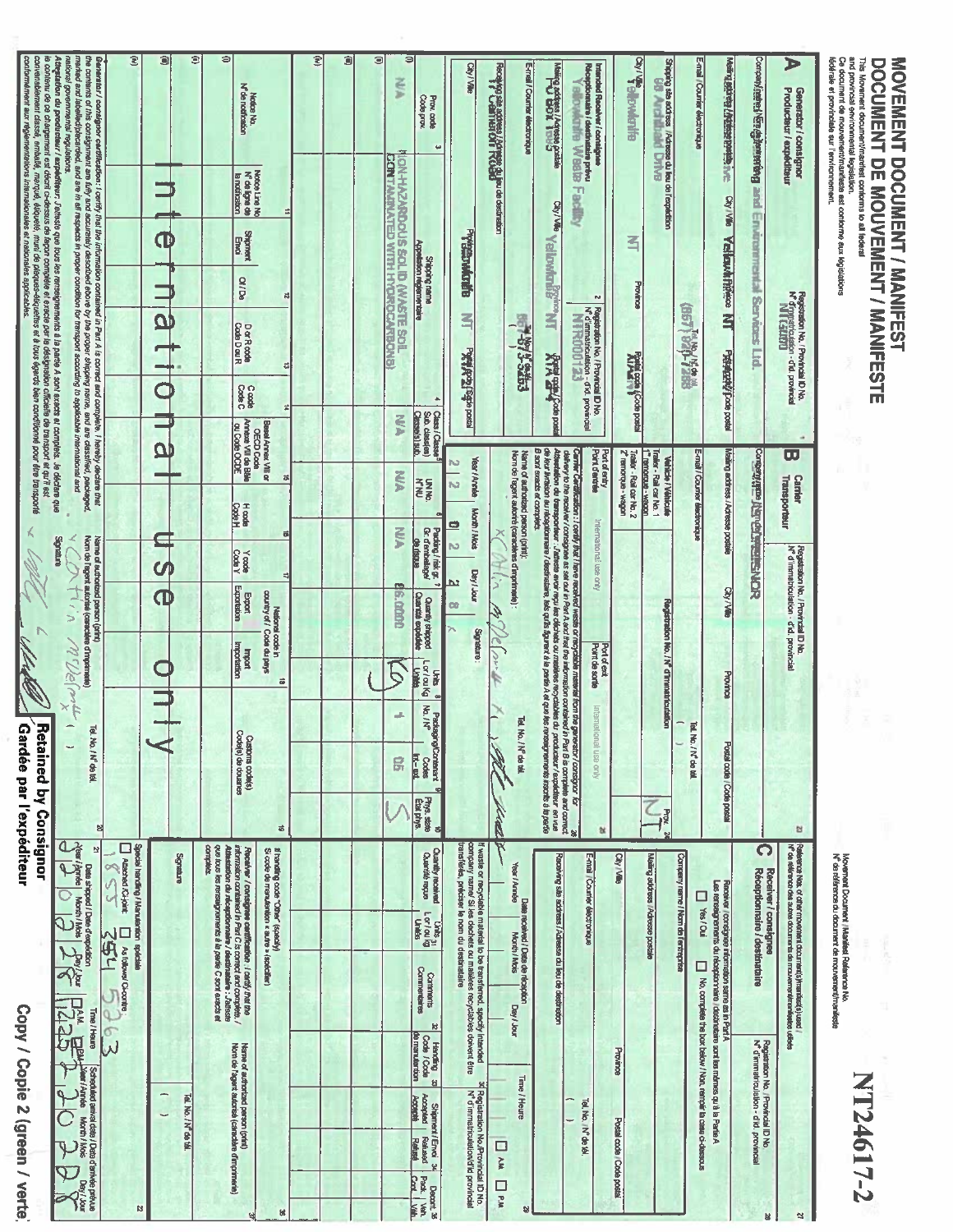| ₹<br>™<br>www.linamic. | CCCELLA<br>$\frac{1}{2}$                                             | <b>And District</b><br>Į<br>Ì      |
|------------------------|----------------------------------------------------------------------|------------------------------------|
| i component<br>医盲鼻囊    | <b>L DE MOUVEME</b><br>jen pij<br><b>A DIAMENTA</b><br>່ເ<br>í,<br>ī | <b>DOCUME</b><br><b>CONNECTION</b> |

mana

 $\blacktriangleright$ 

 $\boldsymbol{z}$ 

B

and provincial environmental legislation.<br>Ce document de mouvementimanifests est contorme aux legislations<br>fédénale et provinciale aur l'environnement. Ment attribute the person of the Vellawa Prince NT Person/possors E-mail / Courrier électronique Compared NER algorithmicang and Environmental Services Ltd. Generator i consignor<br>Producteur i expéditeur Registration No. / Provincial ID No.<br>N<sup>6</sup> d'mystiticalation - d'al provincial<br>**N1 (SEEDE)** (BBL) 980-72BB u  $\overline{\mathbf{u}}$ Mailing actriess / Adresse postale **SION SHEARTS List of Discounty** E-mail / Courter decoronique **Carrier** Transporteur Registration No. / Provincial ID No.<br>N° d'immatriculation - d'id. provincial City / Ville Province Tel. No. / N' de tél. Postal code / Code postal Ľ Parlements Note, of other movement documents hmanites(s) used i<br>Nº de référence des autres documents de mouvement(manifestes utilisés C Receiver / consignes<br>C Réceptionnaire / destinataire Company name / Nom de l'entreprise Movement Document / Manifest Reference No.<br>N<sup>6</sup> de référence du diocument de mouvementimanifeste Facebook roorsignee information same as in Pari A<br>Les renseignements du réceptionnele i destindate sont les mêmes qu'à la Paris A<br>Les renseignements du réceptionnele i destindate es badw / Non, rennyé la case d-4 No, complete the box below / Non, remplir ta case ci-dessous Registration No. / Provincial ID No<br>N° d'immatriculation - d'id. provincial NT24617-2

| $\overline{\mathbf{z}}$<br>$\Rightarrow$<br>₹<br>the contents of this consignment are fully and accurately described ebove by the proper shipping name, and are classified, peckaged.<br>Û<br>¢<br>Û<br>Э<br>Ξ<br>nanonal governmental regulations.<br>marked and lebelled/plecarded, and are in all respects in proper condition for transport according to applicable international and<br>Generator/ consignor certification: I certify that the information contained in Part A is correct and complete. I hereby declare that<br>Atheration du productaur / expeditaur: Jatteste que tous les renseignements à la partie A sont exects et complets. Je déclare que<br>City / Ville<br>Floodwig site address / Advage du jeu de destration<br>Floodwight Half Office TRO Big use destration<br>N.N<br>N <sup>e</sup> de notification<br>Notice No.<br>Code prok<br>Prav. code<br>$\overline{ }$<br>CONTAMINATED WITH HYDROCARBONS<br>IDN-HAZARDOCS SOLID PAYSTE SOFI<br>Notice Line No<br>Notice Line No<br>la notification<br>⇉<br><b>Shipment</b><br>Erindi<br>Pegandentegy<br>Œ<br>Puertemento regionnemente<br><b>Shipping name</b><br><b>90/10</b><br>$\overline{u}$<br><u>م</u><br>3<br>DorRoode<br>Code DouR<br><b>PONY POSTS OF DRAM</b><br>ä<br>Code C<br>۸<br>×<br>Class <sup>1</sup> Class<br>Sub. class(es)<br>CASSBIS 1 SUD<br><b>NA</b><br>Annexe VII de Bâle<br>Besel Amex VIII or<br>OECD Coda<br>au Code OCDE<br><u>מ</u><br>Year / Annien<br>N<br>Š<br>õ<br><b>UNAC</b><br><b>ARK</b><br>Ń<br>Hoods<br>Code H<br>Month / Mois<br>ø<br>Packing / risk gr. 7<br>Gr. d'embellage/<br>Š<br>õ<br>Norn de l'agent autorisé (caractère d'imprimente)<br>Name of authorized person (print)<br><b>GRIDSU 60</b><br>N<br><b>Code</b> Y<br>Yoode<br>cφ<br>Dey / Jour<br>₫<br>31<br><u>h3</u><br>Exportation<br><b>G.como</b><br>Φ<br>country of / Code du pays<br>Export<br>Quantité expédée<br>Quantity shipped<br>$\mathbf{v}_1$<br>CO<br>National code in<br>errendig<br>M.Velmit<br>Importation<br>give<br>Imagini<br><b>Lor/oukg</b><br><b>China</b><br>Units 8<br>ä<br>Packaging/Contenent<br>No./N <sup>e</sup> Codes<br>gli.<br>Tel. No.<br>Code(s) de douanes<br>Customs code(s)<br>/N 命运<br><b>Int-axt</b><br>昂<br>Phys.state<br>Etat phys.<br>벽<br>ö<br>려<br>Nearl Amée   Month / Mois<br>transférée, préciser le nom du destinataire<br>ti waste or recyclebie material to be transferred. specify intended<br>company namel Si les dechets ou matières recyclables doivent être<br>Special handling / Manutantion spéciale<br>que tous les renseignements à la partie C sont exacts et<br>N<br>congletic<br>Athestation du réceptionnelle / destimataire : J'alissie<br>information contained in Part C is correct and complete. /<br>Receiver / consignee certification . I cardy that the<br>if handling code "Other" (specify)<br>Si code de manulantion « autre » (spécifier)<br><b>Quantity received</b><br>Clustrité reçue<br>Signature<br><b>Alteched AC-joint</b><br>Ì<br>Date shipped / Date d'expédition<br>$\circ$<br>J<br>Units<br>Lor/oukg<br> Unites<br>As follows/ Cricortre<br>254<br>$\frac{3}{2}$ | <b>Chydele Provided</b><br>$\frac{1}{26}$ and $\frac{1}{26}$ and $\frac{1}{26}$ and $\frac{1}{26}$ and $\frac{1}{26}$ and $\frac{1}{26}$ and $\frac{1}{26}$ and $\frac{1}{26}$ and $\frac{1}{26}$ and $\frac{1}{26}$ and $\frac{1}{26}$ and $\frac{1}{26}$ and $\frac{1}{26}$ and $\frac{1}{26}$ and $\frac{1}{26}$<br>E-mail / Counter électronique<br>President Mora<br>Intended Receiver / consigner<br>Réceptionnaire / destinataire prévu<br><b>Foundary Weste</b> | Factility<br><b>TV<sup>IVE</sup> Yalpwhalist</b><br>呂<br><b>Province</b><br>∾<br>Registration No. / Provincial ID No.<br>N° d'immetriculation - d'id. provincial<br><b>ESPECTABLE</b><br><b>NUMBER</b><br><b>WASHING COOP DOES</b><br><b>Artist again Code posts</b> | <b>Point d'entrée</b><br>Trailer - Rail car No. 2<br>Port of entry<br>Z <sup>e</sup> ramorque - wagon<br><b>Traiter - Rail car No. 1</b><br><b>L</b> remorger - wagging | B sont exacts et complets.<br>de leur livraison eu récéptionneur / destructions, tels qu'ils figurent à le partie A et que les renseignements inscrits à la perite<br>Norn de l'agent autoriré (caractères d'imprimerie) :<br>Attentiation du transportium : J'attistie avoir reçu les décheis ou matéres recyclables du producteur / expéditeur en vue<br>delivery to the receiver / consignee as set out in Parl A and that the information contained in Parl B is complete and correct.<br>Carrier Cardification : I certify that I have received waste or recyclatie material from the generator I consignor for<br>Name of authorized person (print):<br>Vehicle / Véhicule<br>International use only | Registration No. / N° d'immatricatistion<br>Point de sortie<br>Port of exit | Internetional<br>Tel. No. / N <sup>e</sup> de tél.<br>USB GUJA | Prox. 24<br>à.<br>×<br>Mailing address / Adresse postale<br>Receiving site address / Adresse du lieu de destriation<br>E-mail / Counter électronique<br>City / Villo |
|---------------------------------------------------------------------------------------------------------------------------------------------------------------------------------------------------------------------------------------------------------------------------------------------------------------------------------------------------------------------------------------------------------------------------------------------------------------------------------------------------------------------------------------------------------------------------------------------------------------------------------------------------------------------------------------------------------------------------------------------------------------------------------------------------------------------------------------------------------------------------------------------------------------------------------------------------------------------------------------------------------------------------------------------------------------------------------------------------------------------------------------------------------------------------------------------------------------------------------------------------------------------------------------------------------------------------------------------------------------------------------------------------------------------------------------------------------------------------------------------------------------------------------------------------------------------------------------------------------------------------------------------------------------------------------------------------------------------------------------------------------------------------------------------------------------------------------------------------------------------------------------------------------------------------------------------------------------------------------------------------------------------------------------------------------------------------------------------------------------------------------------------------------------------------------------------------------------------------------------------------------------------------------------------------------------------------------------------------------------------------------------------------------------------------------------------------------------------------------------------------------------------------------------------------------------------------------------------------------------------------------------------------------------------------------------------------------------------------------------------------------------------------------------------------------------------------------------------------------------------------------------------------------------------------------------------------------------------------------------------------------------------------------------------------------------------------------------------------------------------------------------------|-------------------------------------------------------------------------------------------------------------------------------------------------------------------------------------------------------------------------------------------------------------------------------------------------------------------------------------------------------------------------------------------------------------------------------------------------------------------------|----------------------------------------------------------------------------------------------------------------------------------------------------------------------------------------------------------------------------------------------------------------------|-------------------------------------------------------------------------------------------------------------------------------------------------------------------------|------------------------------------------------------------------------------------------------------------------------------------------------------------------------------------------------------------------------------------------------------------------------------------------------------------------------------------------------------------------------------------------------------------------------------------------------------------------------------------------------------------------------------------------------------------------------------------------------------------------------------------------------------------------------------------------------------------|-----------------------------------------------------------------------------|----------------------------------------------------------------|----------------------------------------------------------------------------------------------------------------------------------------------------------------------|
|                                                                                                                                                                                                                                                                                                                                                                                                                                                                                                                                                                                                                                                                                                                                                                                                                                                                                                                                                                                                                                                                                                                                                                                                                                                                                                                                                                                                                                                                                                                                                                                                                                                                                                                                                                                                                                                                                                                                                                                                                                                                                                                                                                                                                                                                                                                                                                                                                                                                                                                                                                                                                                                                                                                                                                                                                                                                                                                                                                                                                                                                                                                                             |                                                                                                                                                                                                                                                                                                                                                                                                                                                                         |                                                                                                                                                                                                                                                                      |                                                                                                                                                                         |                                                                                                                                                                                                                                                                                                                                                                                                                                                                                                                                                                                                                                                                                                            |                                                                             |                                                                |                                                                                                                                                                      |
|                                                                                                                                                                                                                                                                                                                                                                                                                                                                                                                                                                                                                                                                                                                                                                                                                                                                                                                                                                                                                                                                                                                                                                                                                                                                                                                                                                                                                                                                                                                                                                                                                                                                                                                                                                                                                                                                                                                                                                                                                                                                                                                                                                                                                                                                                                                                                                                                                                                                                                                                                                                                                                                                                                                                                                                                                                                                                                                                                                                                                                                                                                                                             |                                                                                                                                                                                                                                                                                                                                                                                                                                                                         |                                                                                                                                                                                                                                                                      |                                                                                                                                                                         |                                                                                                                                                                                                                                                                                                                                                                                                                                                                                                                                                                                                                                                                                                            |                                                                             |                                                                |                                                                                                                                                                      |
|                                                                                                                                                                                                                                                                                                                                                                                                                                                                                                                                                                                                                                                                                                                                                                                                                                                                                                                                                                                                                                                                                                                                                                                                                                                                                                                                                                                                                                                                                                                                                                                                                                                                                                                                                                                                                                                                                                                                                                                                                                                                                                                                                                                                                                                                                                                                                                                                                                                                                                                                                                                                                                                                                                                                                                                                                                                                                                                                                                                                                                                                                                                                             |                                                                                                                                                                                                                                                                                                                                                                                                                                                                         |                                                                                                                                                                                                                                                                      |                                                                                                                                                                         |                                                                                                                                                                                                                                                                                                                                                                                                                                                                                                                                                                                                                                                                                                            |                                                                             |                                                                |                                                                                                                                                                      |
|                                                                                                                                                                                                                                                                                                                                                                                                                                                                                                                                                                                                                                                                                                                                                                                                                                                                                                                                                                                                                                                                                                                                                                                                                                                                                                                                                                                                                                                                                                                                                                                                                                                                                                                                                                                                                                                                                                                                                                                                                                                                                                                                                                                                                                                                                                                                                                                                                                                                                                                                                                                                                                                                                                                                                                                                                                                                                                                                                                                                                                                                                                                                             |                                                                                                                                                                                                                                                                                                                                                                                                                                                                         |                                                                                                                                                                                                                                                                      |                                                                                                                                                                         |                                                                                                                                                                                                                                                                                                                                                                                                                                                                                                                                                                                                                                                                                                            |                                                                             |                                                                |                                                                                                                                                                      |
|                                                                                                                                                                                                                                                                                                                                                                                                                                                                                                                                                                                                                                                                                                                                                                                                                                                                                                                                                                                                                                                                                                                                                                                                                                                                                                                                                                                                                                                                                                                                                                                                                                                                                                                                                                                                                                                                                                                                                                                                                                                                                                                                                                                                                                                                                                                                                                                                                                                                                                                                                                                                                                                                                                                                                                                                                                                                                                                                                                                                                                                                                                                                             |                                                                                                                                                                                                                                                                                                                                                                                                                                                                         |                                                                                                                                                                                                                                                                      |                                                                                                                                                                         |                                                                                                                                                                                                                                                                                                                                                                                                                                                                                                                                                                                                                                                                                                            |                                                                             |                                                                |                                                                                                                                                                      |
|                                                                                                                                                                                                                                                                                                                                                                                                                                                                                                                                                                                                                                                                                                                                                                                                                                                                                                                                                                                                                                                                                                                                                                                                                                                                                                                                                                                                                                                                                                                                                                                                                                                                                                                                                                                                                                                                                                                                                                                                                                                                                                                                                                                                                                                                                                                                                                                                                                                                                                                                                                                                                                                                                                                                                                                                                                                                                                                                                                                                                                                                                                                                             |                                                                                                                                                                                                                                                                                                                                                                                                                                                                         |                                                                                                                                                                                                                                                                      |                                                                                                                                                                         |                                                                                                                                                                                                                                                                                                                                                                                                                                                                                                                                                                                                                                                                                                            |                                                                             |                                                                |                                                                                                                                                                      |
|                                                                                                                                                                                                                                                                                                                                                                                                                                                                                                                                                                                                                                                                                                                                                                                                                                                                                                                                                                                                                                                                                                                                                                                                                                                                                                                                                                                                                                                                                                                                                                                                                                                                                                                                                                                                                                                                                                                                                                                                                                                                                                                                                                                                                                                                                                                                                                                                                                                                                                                                                                                                                                                                                                                                                                                                                                                                                                                                                                                                                                                                                                                                             |                                                                                                                                                                                                                                                                                                                                                                                                                                                                         |                                                                                                                                                                                                                                                                      |                                                                                                                                                                         |                                                                                                                                                                                                                                                                                                                                                                                                                                                                                                                                                                                                                                                                                                            |                                                                             |                                                                |                                                                                                                                                                      |
|                                                                                                                                                                                                                                                                                                                                                                                                                                                                                                                                                                                                                                                                                                                                                                                                                                                                                                                                                                                                                                                                                                                                                                                                                                                                                                                                                                                                                                                                                                                                                                                                                                                                                                                                                                                                                                                                                                                                                                                                                                                                                                                                                                                                                                                                                                                                                                                                                                                                                                                                                                                                                                                                                                                                                                                                                                                                                                                                                                                                                                                                                                                                             |                                                                                                                                                                                                                                                                                                                                                                                                                                                                         |                                                                                                                                                                                                                                                                      |                                                                                                                                                                         |                                                                                                                                                                                                                                                                                                                                                                                                                                                                                                                                                                                                                                                                                                            |                                                                             |                                                                |                                                                                                                                                                      |
|                                                                                                                                                                                                                                                                                                                                                                                                                                                                                                                                                                                                                                                                                                                                                                                                                                                                                                                                                                                                                                                                                                                                                                                                                                                                                                                                                                                                                                                                                                                                                                                                                                                                                                                                                                                                                                                                                                                                                                                                                                                                                                                                                                                                                                                                                                                                                                                                                                                                                                                                                                                                                                                                                                                                                                                                                                                                                                                                                                                                                                                                                                                                             |                                                                                                                                                                                                                                                                                                                                                                                                                                                                         |                                                                                                                                                                                                                                                                      |                                                                                                                                                                         |                                                                                                                                                                                                                                                                                                                                                                                                                                                                                                                                                                                                                                                                                                            |                                                                             |                                                                |                                                                                                                                                                      |
|                                                                                                                                                                                                                                                                                                                                                                                                                                                                                                                                                                                                                                                                                                                                                                                                                                                                                                                                                                                                                                                                                                                                                                                                                                                                                                                                                                                                                                                                                                                                                                                                                                                                                                                                                                                                                                                                                                                                                                                                                                                                                                                                                                                                                                                                                                                                                                                                                                                                                                                                                                                                                                                                                                                                                                                                                                                                                                                                                                                                                                                                                                                                             |                                                                                                                                                                                                                                                                                                                                                                                                                                                                         |                                                                                                                                                                                                                                                                      |                                                                                                                                                                         |                                                                                                                                                                                                                                                                                                                                                                                                                                                                                                                                                                                                                                                                                                            |                                                                             |                                                                |                                                                                                                                                                      |
|                                                                                                                                                                                                                                                                                                                                                                                                                                                                                                                                                                                                                                                                                                                                                                                                                                                                                                                                                                                                                                                                                                                                                                                                                                                                                                                                                                                                                                                                                                                                                                                                                                                                                                                                                                                                                                                                                                                                                                                                                                                                                                                                                                                                                                                                                                                                                                                                                                                                                                                                                                                                                                                                                                                                                                                                                                                                                                                                                                                                                                                                                                                                             |                                                                                                                                                                                                                                                                                                                                                                                                                                                                         |                                                                                                                                                                                                                                                                      |                                                                                                                                                                         |                                                                                                                                                                                                                                                                                                                                                                                                                                                                                                                                                                                                                                                                                                            |                                                                             |                                                                |                                                                                                                                                                      |
| le contenu de ce chergement est décrit ci-dessus de façon compléte et exacte par la désignation officielle de transport et qu'il est                                                                                                                                                                                                                                                                                                                                                                                                                                                                                                                                                                                                                                                                                                                                                                                                                                                                                                                                                                                                                                                                                                                                                                                                                                                                                                                                                                                                                                                                                                                                                                                                                                                                                                                                                                                                                                                                                                                                                                                                                                                                                                                                                                                                                                                                                                                                                                                                                                                                                                                                                                                                                                                                                                                                                                                                                                                                                                                                                                                                        |                                                                                                                                                                                                                                                                                                                                                                                                                                                                         |                                                                                                                                                                                                                                                                      |                                                                                                                                                                         | Signature                                                                                                                                                                                                                                                                                                                                                                                                                                                                                                                                                                                                                                                                                                  |                                                                             |                                                                |                                                                                                                                                                      |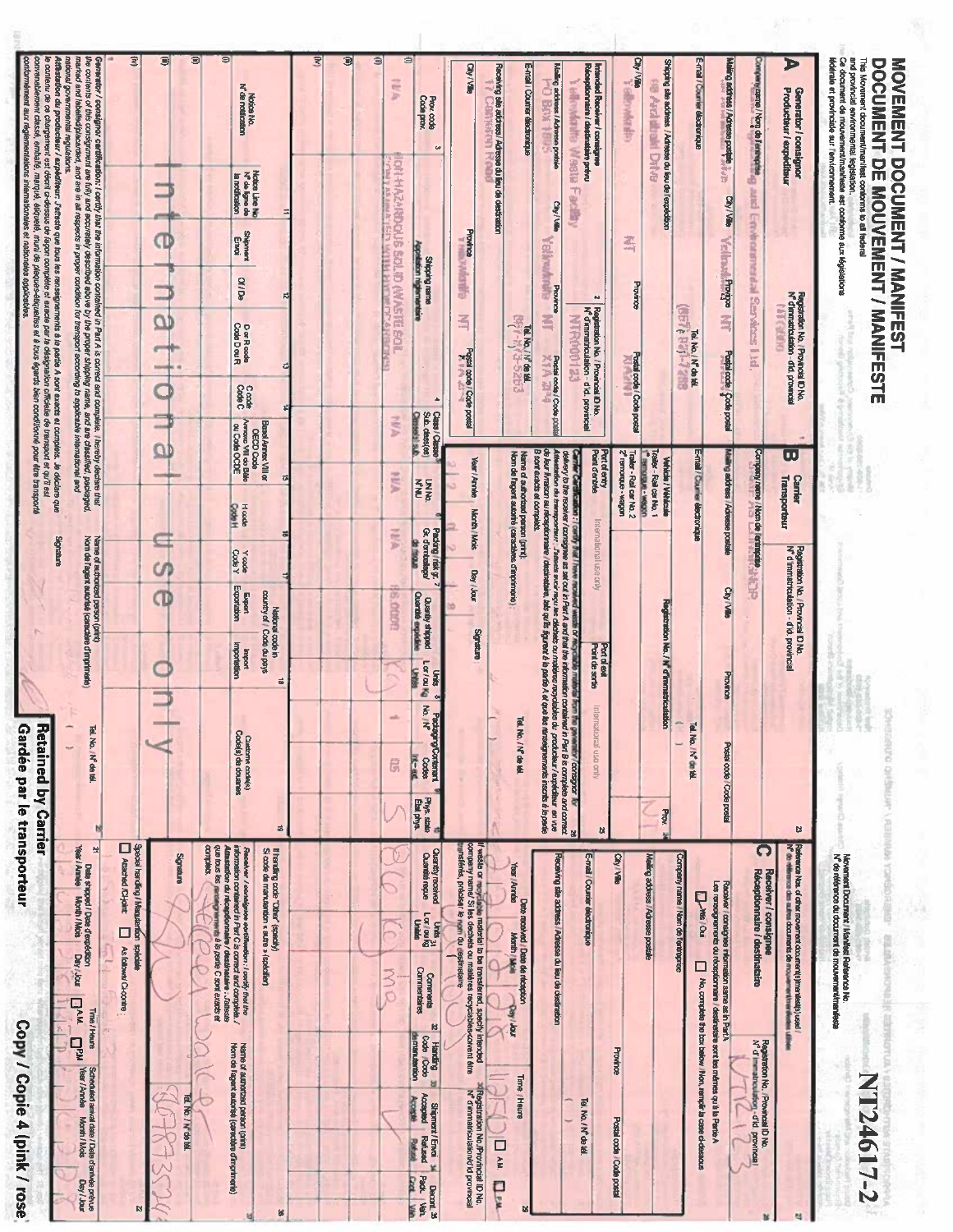| Generator / consignor cardification : toritly that the information contained in Parl A is corned and complete. I hereby declare that<br>the contents of this consignment are fully and accurately described alover by the proper<br>marked and lebelied/pleusreled, and are in all respects in proper condition for transport excording, to applicabe international and<br>national governmental regulations. | 宝<br>$\bullet$<br>$\circledcirc$<br>stins<br>æ<br>CD<br><b>Hinks</b><br><b>DRIVE</b><br>σ<br>e<br><b>Tebest</b><br>$\overline{\omega}$ | $\circ$<br>Notice No.<br>N <sup>o</sup> de notification<br>Notice Line No<br>N <sup>2</sup> de ligne de<br>la notification<br>⋣<br><b>Shipment</b><br>Ernoi<br><b>Of / De</b><br>总<br>Dor Rade<br>Code Dou R<br>뎨<br>Code<br>Code C<br>OECD Code<br>Arnaxe VIII de Balle<br>ou Code OCDE<br>Basel Annex VIII or<br>뎨                                                                                                                                       | Ξ<br>I<br>э | ⊜<br>言い<br>Prox.code<br>Code prox.<br>CH-HAZ-REDOUS SOLID (RIASTER<br>医下肢<br><b>TRY HERING LEEP WHY</b><br>Shipping remen<br>Appellation régionnementaire<br>g<br>Sub dass(es)<br>Clessels fact<br>1974                                                                                                                                                                                                                                                                                                                                                                                       | CON/VILLE<br>$\omega$<br>Province<br><b>Gillappy</b><br>当<br>Postal code / Code postal<br>$\lambda$<br>Class / Classe<br>Year / Année                                                                                                                                                                                               | Receiving site address / Adresse du lieu de destration<br>E-mail / Counter dischanique<br>15749199<br>导<br><b>Fel. No.</b> / N° de tél.<br>ă | Mailing address / Adresse postale<br><b>STRANDING</b><br>Wedge<br>下 60000<br>CON/VIII)<br><b>Yellowhan</b><br>Province<br>雪<br><b>AHARRISES</b><br>Postal code / Code posta<br><b>Mr.Card</b>                                                                                                                        | Interded Receiver / consigner<br>Réceptionnaire / destinataire prévu<br>$\sim$<br>Registration No. / Provincial ID No.<br>N° d'immatriculation - d'id. provincial<br>Port of entry<br>Port d'entrée | City / Ville<br>ă<br><b>Superintendent</b><br><b>And altrakt Dytve</b><br>족<br>Province<br>Postal code / Code postal | Shipping site address / Adresse du lieu de l'expedition<br>E-mail / Counter dischonique<br>GEN RAILWARE<br>Tel. No. / N° de tél.          | Mailing address / Adresse postale<br>City / Ville<br><b><i>Vellmal Promos</i></b><br>雪<br>Postal code (Code postal                       | Company part of the property of<br><b>AIR University Renamed Section</b>                                                                                                       | P<br><b>Generator / consignor<br/>Producteur / expéditeur</b><br>Registration No. / Provincial ID No.<br>N <sup>o</sup> d'immatriculation - d'Armover<br>d'immatriculation - d'id. provincia<br><b>CARTELLAN</b><br>ω | and provincial environmental legislation.<br>lédérale et provinciale sur l'environnement<br>Ce document de mouvement/maniteste est conforme aux législations<br>This Movement document/manifest conforms to all federal<br>DOCUMENT DE MOUVEMENT / MANIFESTE<br>ing law |
|---------------------------------------------------------------------------------------------------------------------------------------------------------------------------------------------------------------------------------------------------------------------------------------------------------------------------------------------------------------------------------------------------------------|----------------------------------------------------------------------------------------------------------------------------------------|------------------------------------------------------------------------------------------------------------------------------------------------------------------------------------------------------------------------------------------------------------------------------------------------------------------------------------------------------------------------------------------------------------------------------------------------------------|-------------|-----------------------------------------------------------------------------------------------------------------------------------------------------------------------------------------------------------------------------------------------------------------------------------------------------------------------------------------------------------------------------------------------------------------------------------------------------------------------------------------------------------------------------------------------------------------------------------------------|-------------------------------------------------------------------------------------------------------------------------------------------------------------------------------------------------------------------------------------------------------------------------------------------------------------------------------------|----------------------------------------------------------------------------------------------------------------------------------------------|----------------------------------------------------------------------------------------------------------------------------------------------------------------------------------------------------------------------------------------------------------------------------------------------------------------------|-----------------------------------------------------------------------------------------------------------------------------------------------------------------------------------------------------|----------------------------------------------------------------------------------------------------------------------|-------------------------------------------------------------------------------------------------------------------------------------------|------------------------------------------------------------------------------------------------------------------------------------------|--------------------------------------------------------------------------------------------------------------------------------------------------------------------------------|-----------------------------------------------------------------------------------------------------------------------------------------------------------------------------------------------------------------------|-------------------------------------------------------------------------------------------------------------------------------------------------------------------------------------------------------------------------------------------------------------------------|
| kaged.<br>Signative<br>Name of authorized person (print)<br>Nom de Fagent autorisé (caractère d'imprimerie)<br><b>Tel. No. N° de tél.</b><br>ы                                                                                                                                                                                                                                                                | CN,<br>Œ                                                                                                                               | Hoods<br>Code H<br>하<br>Y ebod<br>ebod<br>Export<br>Exportation<br>National code in<br>country of / Code du j<br>Code du pays<br><b>Importation</b><br>$\vec{a}$<br>Custams code(s)<br>Code(s) de douanes<br>ö                                                                                                                                                                                                                                             |             | AUA<br><b>RAN</b><br>可图<br>Packing / risk gr.<br>Gr. d'embalage/<br><b>S.ODDR</b><br>Quantly shipped<br>Ouertôle expédiée<br>Loc/cu Kg<br>pricu Kg<br>Units<br>Padiagna/Contenent<br>$\frac{1}{2} \sum_{i=1}^{n} \frac{1}{2} \sum_{i=1}^{n} \frac{1}{2} \sum_{i=1}^{n} \frac{1}{2} \sum_{i=1}^{n} \frac{1}{2} \sum_{i=1}^{n} \frac{1}{2} \sum_{i=1}^{n} \frac{1}{2} \sum_{i=1}^{n} \frac{1}{2} \sum_{i=1}^{n} \frac{1}{2} \sum_{i=1}^{n} \frac{1}{2} \sum_{i=1}^{n} \frac{1}{2} \sum_{i=1}^{n} \frac{1}{2} \sum_{i=1}^{n} \frac{1}{2} \sum_{i=1}^{n$<br>河南<br>G,<br>Phys. state<br>Etal phys. | Month / Mois<br>Day / Jour<br>europuting                                                                                                                                                                                                                                                                                            | Name of authorizad parson (print).<br>Nom de Fagent autoriré (caractères d'imprimente)<br><b>Tel. No. / N° de léi</b>                        | B sont exacts et complets.<br>Carrier Cardination : Lerity Ind II inverse in the limits of real the United Stranger Company Lockspor 10, 23<br>Administration du transporteur : Jolison eroir recuber du marier au marier au constant company and company and<br>A<br>kan 7 cardly that The<br><b>CORD DOG GROUP</b> | International use only<br><b>Point de sortie</b><br>Port of ent<br>International use only<br>R.                                                                                                     | Trailer - Reil car No. 2<br>uodew - enbroueu<br>Traider - Rail car No. 1<br>1 <sup>6</sup> senorgue - wagon          | E-mail / Cour er électronique<br><b>Vehicle / Véhicule</b><br>Registration No. / N' d'Immatri<br>iculation<br>Tel. No. / N° de 16<br>Prox | Mailing address / Adresse postale<br>City / Ville<br>Province<br>Postal code / Code postal                                               | Company neme / Nom de l'eritage est (1999)                                                                                                                                     | <b>Carrier</b><br>Transporteur<br>Registration No. / Provincial ID No.<br>N <sup>o</sup> d'immatriculation - d'id, provincial<br>Ø                                                                                    |                                                                                                                                                                                                                                                                         |
| <b>Year</b><br>$\overline{a}$<br>Deze stapped / Date d'expédition<br>/ Année Month / Mots   Day / Jour<br>As follows/ Ci-contre<br>$D^{AM}$<br>Time / Heure<br>$\overline{\mathbf{q}}$<br>Scheduled amval date / Date d'antvée prévue<br>Year / Année Month / Mois<br>Day / your                                                                                                                              | Spocial transflice / Manutanticon spéciale<br>  Attached ACHoint:           As follow<br>enreudes<br>Tel. No. / N <sup>c</sup> de tél. | que tous les paraies<br>complets.<br>ļ<br>Receiver / consigner certification : i certify that the<br>information contained in Part C is corned and complete. /<br>lf handling code "Other" (specify)<br>Si code de manutention « autre » (spécifier)<br>badion du rileappionnaire / desdinataire : J'atteste<br>2us les noméganiments à la partie C sont exacts et<br>Name of authorized person (print)<br>Nom de Fagent autorisé (caractère d'imprimente) |             | <b>Cuantité reçue</b><br>Units 31<br>Larioukg<br>  Unités<br><b>Commentaires</b><br><b>No</b><br>Connnents<br><b>Code / Code</b><br>Code / Code<br><b>Brinnandon</b><br>Shipment/Envoi »<br>Accepted Refused<br>Accepte Refused<br>Decont <sup>36</sup><br>Pack. Veh.                                                                                                                                                                                                                                                                                                                         | li waste or myyllulive maseutei to be transferred, specify intencied<br>company ramed Si ies dechets ou matelered, specify intencied<br>"umsféries, préciseur le ryon du depintatione<br><b>Quantity received</b><br>ß<br>8<br><sup>14</sup> Registration No. Provincial ID No.<br>N <sup>2</sup> d'immatriculation/d'ld provincial | Year / Année<br>Date received / Date de réception<br>be<br>rior / Aed<br>Time / Heure<br>I Auk<br>Ë                                          | Receiving site address / Adresse du lieu de destination<br>Tel. No. / N° de tél.                                                                                                                                                                                                                                     | City / Ville<br>E-mail / Counter électronique<br>Province<br>Postal code / Code postal                                                                                                              | Meining address / Adresse postale                                                                                    | Company name / Non de fentreprise<br><b>Like</b> / ou<br>Alo, complete the bax below / Non, remplir ta case ol-dessous                    | Les rensegnements du réceptionnaire / destinatione sont les mêmes qu'à la Partie A<br>Recoiver / consignee information same as in Part A | $\Omega$<br>Receiver / consignee<br>Réceptionnaire / destinataire<br>Registration No. / Provincial ID No.<br>Nº d'immatementation - d'id. provincial<br>21 L<br>$\overline{ }$ | Reference Nos. of other movement documentighmenties(s) used /<br>Nº do ellinence des autres documents de mouvement insel en la                                                                                        | Movement Document / Manitest Reference No.<br>N <sup>2</sup> de référence du document de mouvement/manifeste<br>NT24617-2                                                                                                                                               |